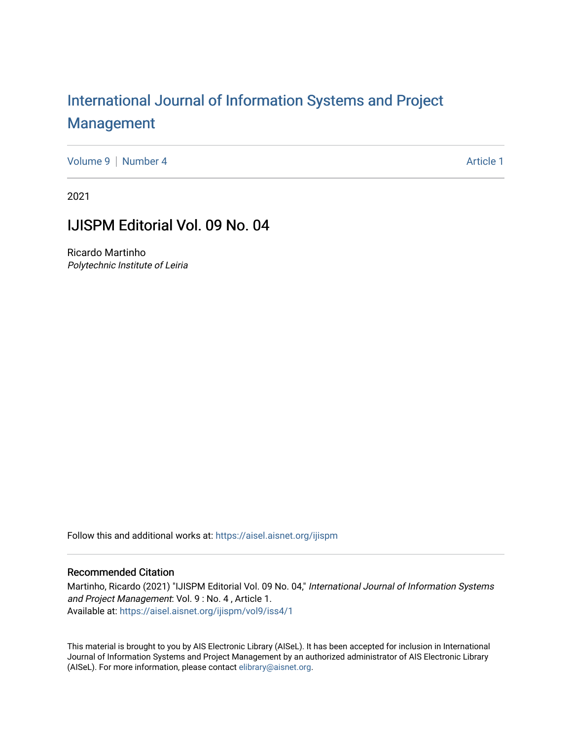## [International Journal of Information Systems and Project](https://aisel.aisnet.org/ijispm)  [Management](https://aisel.aisnet.org/ijispm)

[Volume 9](https://aisel.aisnet.org/ijispm/vol9) [Number 4](https://aisel.aisnet.org/ijispm/vol9/iss4) Article 1

2021

### IJISPM Editorial Vol. 09 No. 04

Ricardo Martinho Polytechnic Institute of Leiria

Follow this and additional works at: [https://aisel.aisnet.org/ijispm](https://aisel.aisnet.org/ijispm?utm_source=aisel.aisnet.org%2Fijispm%2Fvol9%2Fiss4%2F1&utm_medium=PDF&utm_campaign=PDFCoverPages) 

#### Recommended Citation

Martinho, Ricardo (2021) "IJISPM Editorial Vol. 09 No. 04," International Journal of Information Systems and Project Management: Vol. 9 : No. 4 , Article 1. Available at: [https://aisel.aisnet.org/ijispm/vol9/iss4/1](https://aisel.aisnet.org/ijispm/vol9/iss4/1?utm_source=aisel.aisnet.org%2Fijispm%2Fvol9%2Fiss4%2F1&utm_medium=PDF&utm_campaign=PDFCoverPages) 

This material is brought to you by AIS Electronic Library (AISeL). It has been accepted for inclusion in International Journal of Information Systems and Project Management by an authorized administrator of AIS Electronic Library (AISeL). For more information, please contact [elibrary@aisnet.org](mailto:elibrary@aisnet.org%3E).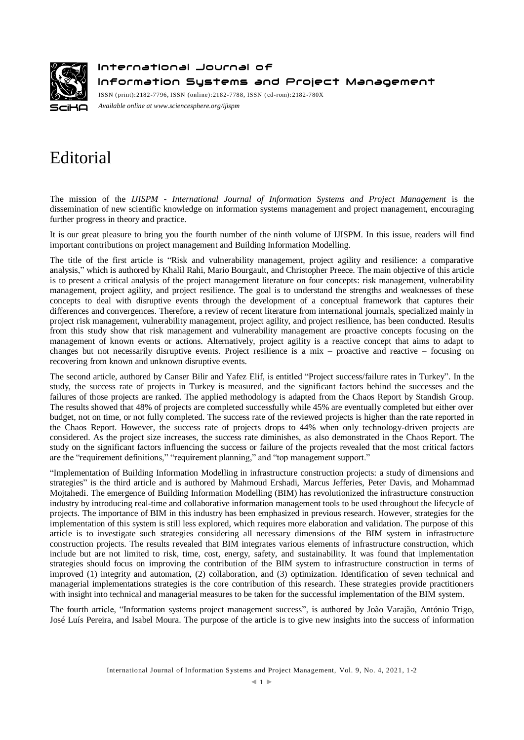

International Journal of

Information Systems and Project Management

ISSN (print):2182-7796, ISSN (online):2182-7788, ISSN ( cd-rom):2182-780X *Available online a[t www.sciencesphere.org/ijispm](http://www.sciencesphere.org/ijispm)*

# Editorial

The mission of the *IJISPM - International Journal of Information Systems and Project Management* is the dissemination of new scientific knowledge on information systems management and project management, encouraging further progress in theory and practice.

It is our great pleasure to bring you the fourth number of the ninth volume of IJISPM. In this issue, readers will find important contributions on project management and Building Information Modelling.

The title of the first article is "Risk and vulnerability management, project agility and resilience: a comparative analysis," which is authored by Khalil Rahi, Mario Bourgault, and Christopher Preece. The main objective of this article is to present a critical analysis of the project management literature on four concepts: risk management, vulnerability management, project agility, and project resilience. The goal is to understand the strengths and weaknesses of these concepts to deal with disruptive events through the development of a conceptual framework that captures their differences and convergences. Therefore, a review of recent literature from international journals, specialized mainly in project risk management, vulnerability management, project agility, and project resilience, has been conducted. Results from this study show that risk management and vulnerability management are proactive concepts focusing on the management of known events or actions. Alternatively, project agility is a reactive concept that aims to adapt to changes but not necessarily disruptive events. Project resilience is a mix – proactive and reactive – focusing on recovering from known and unknown disruptive events.

The second article, authored by Canser Bilir and Yafez Elif, is entitled "Project success/failure rates in Turkey". In the study, the success rate of projects in Turkey is measured, and the significant factors behind the successes and the failures of those projects are ranked. The applied methodology is adapted from the Chaos Report by Standish Group. The results showed that 48% of projects are completed successfully while 45% are eventually completed but either over budget, not on time, or not fully completed. The success rate of the reviewed projects is higher than the rate reported in the Chaos Report. However, the success rate of projects drops to 44% when only technology-driven projects are considered. As the project size increases, the success rate diminishes, as also demonstrated in the Chaos Report. The study on the significant factors influencing the success or failure of the projects revealed that the most critical factors are the "requirement definitions," "requirement planning," and "top management support."

"Implementation of Building Information Modelling in infrastructure construction projects: a study of dimensions and strategies" is the third article and is authored by Mahmoud Ershadi, Marcus Jefferies, Peter Davis, and Mohammad Mojtahedi. The emergence of Building Information Modelling (BIM) has revolutionized the infrastructure construction industry by introducing real-time and collaborative information management tools to be used throughout the lifecycle of projects. The importance of BIM in this industry has been emphasized in previous research. However, strategies for the implementation of this system is still less explored, which requires more elaboration and validation. The purpose of this article is to investigate such strategies considering all necessary dimensions of the BIM system in infrastructure construction projects. The results revealed that BIM integrates various elements of infrastructure construction, which include but are not limited to risk, time, cost, energy, safety, and sustainability. It was found that implementation strategies should focus on improving the contribution of the BIM system to infrastructure construction in terms of improved (1) integrity and automation, (2) collaboration, and (3) optimization. Identification of seven technical and managerial implementations strategies is the core contribution of this research. These strategies provide practitioners with insight into technical and managerial measures to be taken for the successful implementation of the BIM system.

The fourth article, "Information systems project management success", is authored by João Varajão, António Trigo, José Luís Pereira, and Isabel Moura. The purpose of the article is to give new insights into the success of information